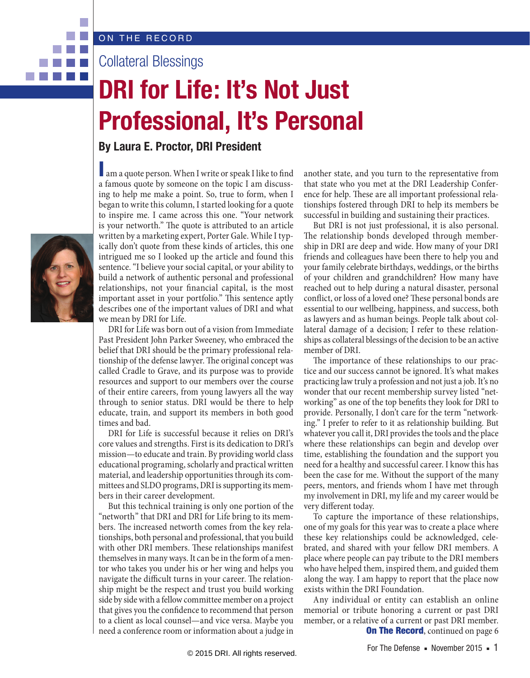Collateral Blessings

## **DRI for Life: It's Not Just Professional, It's Personal**

## **By Laura E. Proctor, DRI President**

I am a quote person. When I write or speak I like to find a famous quote by someone on the topic I am discussing to help me make a point. So, true to form, when I began to write this column, I started looking for a quote to inspire me. I came across this one. "Your network is your networth." The quote is attributed to an article written by a marketing expert, Porter Gale. While I typically don't quote from these kinds of articles, this one intrigued me so I looked up the article and found this sentence. "I believe your social capital, or your ability to build a network of authentic personal and professional relationships, not your financial capital, is the most important asset in your portfolio." This sentence aptly describes one of the important values of DRI and what we mean by DRI for Life.

DRI for Life was born out of a vision from Immediate Past President John Parker Sweeney, who embraced the belief that DRI should be the primary professional relationship of the defense lawyer. The original concept was called Cradle to Grave, and its purpose was to provide resources and support to our members over the course of their entire careers, from young lawyers all the way through to senior status. DRI would be there to help educate, train, and support its members in both good times and bad.

DRI for Life is successful because it relies on DRI's core values and strengths. First is its dedication to DRI's mission—to educate and train. By providing world class educational programing, scholarly and practical written material, and leadership opportunities through its committees and SLDO programs, DRI is supporting its members in their career development.

But this technical training is only one portion of the "networth" that DRI and DRI for Life bring to its members. The increased networth comes from the key relationships, both personal and professional, that you build with other DRI members. These relationships manifest themselves in many ways. It can be in the form of a mentor who takes you under his or her wing and helps you navigate the difficult turns in your career. The relationship might be the respect and trust you build working side by side with a fellow committee member on a project that gives you the confidence to recommend that person to a client as local counsel—and vice versa. Maybe you need a conference room or information about a judge in another state, and you turn to the representative from that state who you met at the DRI Leadership Conference for help. These are all important professional relationships fostered through DRI to help its members be successful in building and sustaining their practices.

But DRI is not just professional, it is also personal. The relationship bonds developed through membership in DRI are deep and wide. How many of your DRI friends and colleagues have been there to help you and your family celebrate birthdays, weddings, or the births of your children and grandchildren? How many have reached out to help during a natural disaster, personal conflict, or loss of a loved one? These personal bonds are essential to our wellbeing, happiness, and success, both as lawyers and as human beings. People talk about collateral damage of a decision; I refer to these relationships as collateral blessings of the decision to be an active member of DRI.

The importance of these relationships to our practice and our success cannot be ignored. It's what makes practicing law truly a profession and not just a job. It's no wonder that our recent membership survey listed "networking" as one of the top benefits they look for DRI to provide. Personally, I don't care for the term "networking." I prefer to refer to it as relationship building. But whatever you call it, DRI provides the tools and the place where these relationships can begin and develop over time, establishing the foundation and the support you need for a healthy and successful career. I know this has been the case for me. Without the support of the many peers, mentors, and friends whom I have met through my involvement in DRI, my life and my career would be very different today.

To capture the importance of these relationships, one of my goals for this year was to create a place where these key relationships could be acknowledged, celebrated, and shared with your fellow DRI members. A place where people can pay tribute to the DRI members who have helped them, inspired them, and guided them along the way. I am happy to report that the place now exists within the DRI Foundation.

**On The Record, continued on page 6** Any individual or entity can establish an online memorial or tribute honoring a current or past DRI member, or a relative of a current or past DRI member.



. . . .